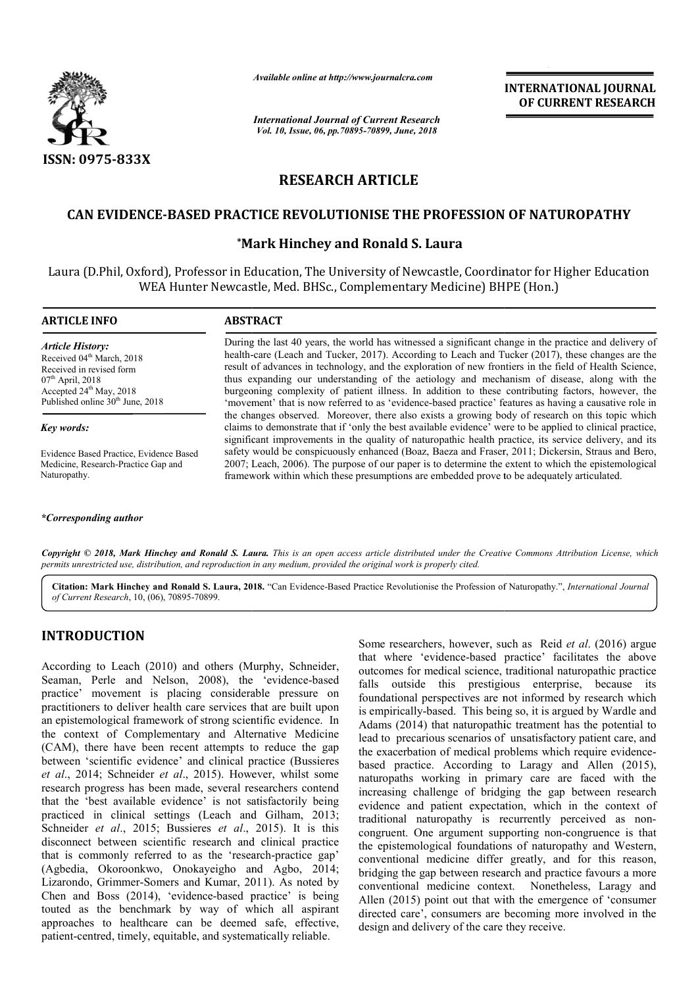

*Available online at http://www.journalcra.com*

*International Journal of Current Research Vol. 10, Issue, 06, pp.70895-70899, June, 2018*

**INTERNATIONAL JOURNAL OF CURRENT RESEARCH**

# **RESEARCH ARTICLE**

# CAN EVIDENCE-BASED PRACTICE REVOLUTIONISE THE PROFESSION OF NATUROPATHY<br>Mark Hinchey and Ronald S. Laura\*

## **\*Mark Hinchey and Ronald S. Laura**

Laura (D.Phil, Oxford), Professor in Education, The University of Newcastle, Coordinator for Higher Education WEA Hunter Newcastle, Med. BHSc., Complementary Medicine) BHPE (Hon.)

#### **ARTICLE INFO ABSTRACT**

*Article History:* Received 04<sup>th</sup> March, 2018 Received in revised form  $07<sup>th</sup>$  April, 2018 Accepted 24<sup>th</sup> May, 2018 Published online 30<sup>th</sup> June, 2018

#### *Key words:*

Evidence Based Practice, Evidence Based Medicine, Research-Practice Gap and Naturopathy.

#### *\*Corresponding author*

During the last 40 years, the world has witnessed a significant change in the practice and delivery of health-care (Leach and Tucker, 2017). According to Leach and Tucker (2017), these changes are the result of advances in technology, and the exploration of new frontiers in the field of Health Science, thus expanding our understanding of the aetiology and mechanism of disease, along with the burgeoning complexity of patient illness. In addition to these contributing factors, however, the 'movement' that is now referred to as 'evidence-based practice' features as having a causative role in the changes observed. Moreover, there also exists a growing body of research on this topic which claims to demonstrate that if 'only the best available evidence' were to be applied to clinical practice, significant improvements in the quality of naturopathic health practice, its service delivery, and its safety would be conspicuously enhanced (Boaz, Baeza and Fraser, 2011; Dickersin, Straus and Bero, 2007; Leach, 2006). The purpose of our paper is to determine the extent to which the epistemological framework within which these presumptions are embedded prove to be adequately articulated.

Copyright © 2018, Mark Hinchey and Ronald S. Laura. This is an open access article distributed under the Creative Commons Attribution License, which permits unrestricted use, distribution, and reproduction in any medium, provided the original work is properly cited.

Citation: Mark Hinchey and Ronald S. Laura, 2018. "Can Evidence-Based Practice Revolutionise the Profession of Naturopathy.", *International Journal of Current Research*, 10, (06), 70895-70899.

# **INTRODUCTION**

According to Leach (2010) and others (Murphy, Schneider, Seaman, Perle and Nelson, 2008), the 'evidence-based practice' movement is placing considerable pressure on practitioners to deliver health care services that are built upon an epistemological framework of strong scientific evidence. In the context of Complementary and Alternative Medicine (CAM), there have been recent attempts to reduce the gap between 'scientific evidence' and clinical practice (Bussieres *et al*., 2014; Schneider *et al*., 2015). However, whilst some research progress has been made, several researchers contend that the 'best available evidence' is not satisfactorily being practiced in clinical settings (Leach and Gilham, 2013; Schneider *et al*., 2015; Bussieres *et al*., 2015). It is this disconnect between scientific research and clinical practice that is commonly referred to as the 'research-practice gap' (Agbedia, Okoroonkwo, Onokayeigho and Agbo, 2014; Lizarondo, Grimmer-Somers and Kumar, 2011). As noted by Chen and Boss (2014), 'evidence-based practice' is being touted as the benchmark by way of which all aspirant approaches to healthcare can be deemed safe, effective, patient-centred, timely, equitable, and systematically reliable.

Some researchers, however, such as Reid *et al*. (2016) argue that where 'evidence-based practice' facilitates the above outcomes for medical science, traditional naturopathic practice falls outside this prestigious enterprise, because its foundational perspectives are not informed by research which is empirically-based. This being so, it is argued by Wardle and Adams (2014) that naturopathic treatment has the potential to lead to precarious scenarios of unsatisfactory patient care, and the exacerbation of medical problems which require evidencebased practice. According to Laragy and Allen (2015), naturopaths working in primary care are faced with the increasing challenge of bridging the gap between research evidence and patient expectation, which in the context of traditional naturopathy is recurrently perceived as noncongruent. One argument supporting non-congruence is that the epistemological foundations of naturopathy and Western, conventional medicine differ greatly, and for this reason, bridging the gap between research and practice favours a more conventional medicine context. Nonetheless, Laragy and Allen (2015) point out that with the emergence of 'consumer directed care', consumers are becoming more involved in the design and delivery of the care they receive.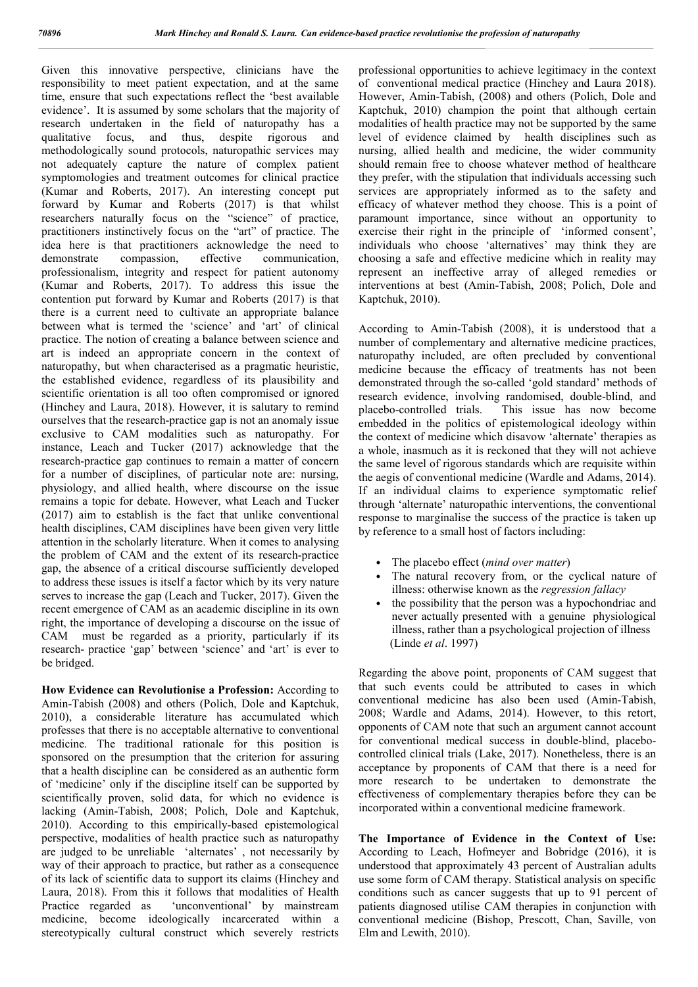Given this innovative perspective, clinicians have the responsibility to meet patient expectation, and at the same time, ensure that such expectations reflect the 'best available evidence'. It is assumed by some scholars that the majority of research undertaken in the field of naturopathy has a qualitative focus, and thus, despite rigorous and methodologically sound protocols, naturopathic services may not adequately capture the nature of complex patient symptomologies and treatment outcomes for clinical practice (Kumar and Roberts, 2017). An interesting concept put forward by Kumar and Roberts (2017) is that whilst researchers naturally focus on the "science" of practice, practitioners instinctively focus on the "art" of practice. The idea here is that practitioners acknowledge the need to demonstrate compassion, effective communication, professionalism, integrity and respect for patient autonomy (Kumar and Roberts, 2017). To address this issue the contention put forward by Kumar and Roberts (2017) is that there is a current need to cultivate an appropriate balance between what is termed the 'science' and 'art' of clinical practice. The notion of creating a balance between science and art is indeed an appropriate concern in the context of naturopathy, but when characterised as a pragmatic heuristic, the established evidence, regardless of its plausibility and scientific orientation is all too often compromised or ignored (Hinchey and Laura, 2018). However, it is salutary to remind ourselves that the research-practice gap is not an anomaly issue exclusive to CAM modalities such as naturopathy. For instance, Leach and Tucker (2017) acknowledge that the research-practice gap continues to remain a matter of concern for a number of disciplines, of particular note are: nursing, physiology, and allied health, where discourse on the issue remains a topic for debate. However, what Leach and Tucker (2017) aim to establish is the fact that unlike conventional health disciplines, CAM disciplines have been given very little attention in the scholarly literature. When it comes to analysing the problem of CAM and the extent of its research-practice gap, the absence of a critical discourse sufficiently developed to address these issues is itself a factor which by its very nature serves to increase the gap (Leach and Tucker, 2017). Given the recent emergence of CAM as an academic discipline in its own right, the importance of developing a discourse on the issue of CAM must be regarded as a priority, particularly if its research- practice 'gap' between 'science' and 'art' is ever to be bridged.

**How Evidence can Revolutionise a Profession:** According to Amin-Tabish (2008) and others (Polich, Dole and Kaptchuk, 2010), a considerable literature has accumulated which professes that there is no acceptable alternative to conventional medicine. The traditional rationale for this position is sponsored on the presumption that the criterion for assuring that a health discipline can be considered as an authentic form of 'medicine' only if the discipline itself can be supported by scientifically proven, solid data, for which no evidence is lacking (Amin-Tabish, 2008; Polich, Dole and Kaptchuk, 2010). According to this empirically-based epistemological perspective, modalities of health practice such as naturopathy are judged to be unreliable 'alternates' , not necessarily by way of their approach to practice, but rather as a consequence of its lack of scientific data to support its claims (Hinchey and Laura, 2018). From this it follows that modalities of Health Practice regarded as 'unconventional' by mainstream medicine, become ideologically incarcerated within a stereotypically cultural construct which severely restricts

professional opportunities to achieve legitimacy in the context of conventional medical practice (Hinchey and Laura 2018). However, Amin-Tabish, (2008) and others (Polich, Dole and Kaptchuk, 2010) champion the point that although certain modalities of health practice may not be supported by the same level of evidence claimed by health disciplines such as nursing, allied health and medicine, the wider community should remain free to choose whatever method of healthcare they prefer, with the stipulation that individuals accessing such services are appropriately informed as to the safety and efficacy of whatever method they choose. This is a point of paramount importance, since without an opportunity to exercise their right in the principle of 'informed consent', individuals who choose 'alternatives' may think they are choosing a safe and effective medicine which in reality may represent an ineffective array of alleged remedies or interventions at best (Amin-Tabish, 2008; Polich, Dole and Kaptchuk, 2010).

According to Amin-Tabish (2008), it is understood that a number of complementary and alternative medicine practices, naturopathy included, are often precluded by conventional medicine because the efficacy of treatments has not been demonstrated through the so-called 'gold standard' methods of research evidence, involving randomised, double-blind, and placebo-controlled trials. This issue has now become embedded in the politics of epistemological ideology within the context of medicine which disavow 'alternate' therapies as a whole, inasmuch as it is reckoned that they will not achieve the same level of rigorous standards which are requisite within the aegis of conventional medicine (Wardle and Adams, 2014). If an individual claims to experience symptomatic relief through 'alternate' naturopathic interventions, the conventional response to marginalise the success of the practice is taken up by reference to a small host of factors including:

- The placebo effect (*mind over matter*)
- The natural recovery from, or the cyclical nature of illness: otherwise known as the *regression fallacy*
- the possibility that the person was a hypochondriac and never actually presented with a genuine physiological illness, rather than a psychological projection of illness (Linde *et al*. 1997)

Regarding the above point, proponents of CAM suggest that that such events could be attributed to cases in which conventional medicine has also been used (Amin-Tabish, 2008; Wardle and Adams, 2014). However, to this retort, opponents of CAM note that such an argument cannot account for conventional medical success in double-blind, placebocontrolled clinical trials (Lake, 2017). Nonetheless, there is an acceptance by proponents of CAM that there is a need for more research to be undertaken to demonstrate the effectiveness of complementary therapies before they can be incorporated within a conventional medicine framework.

**The Importance of Evidence in the Context of Use:** According to Leach, Hofmeyer and Bobridge (2016), it is understood that approximately 43 percent of Australian adults use some form of CAM therapy. Statistical analysis on specific conditions such as cancer suggests that up to 91 percent of patients diagnosed utilise CAM therapies in conjunction with conventional medicine (Bishop, Prescott, Chan, Saville, von Elm and Lewith, 2010).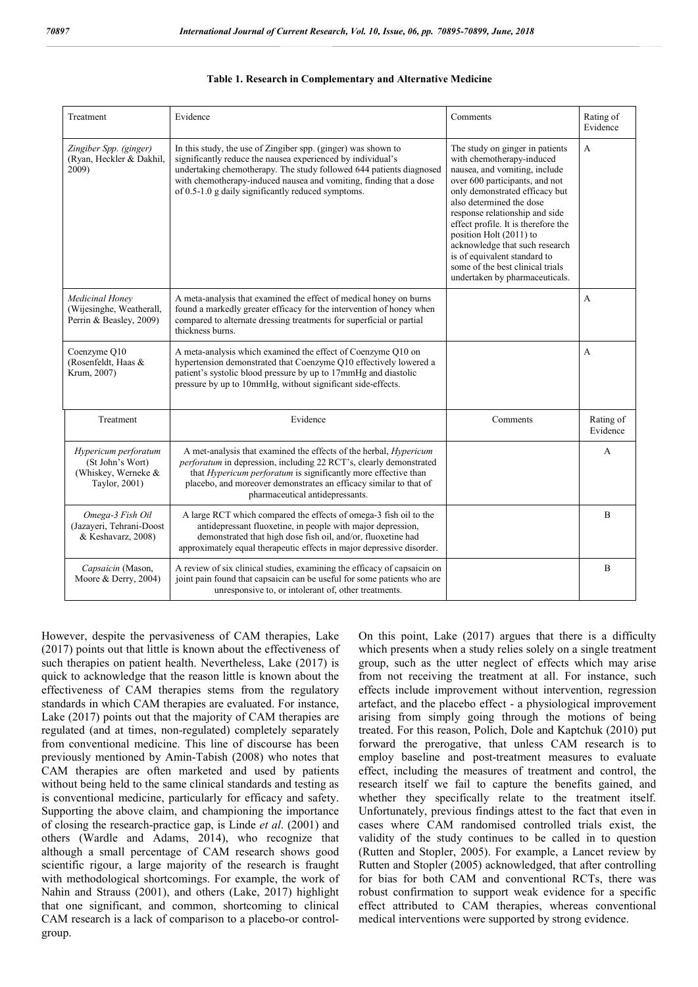| Treatment                                                                        | Evidence                                                                                                                                                                                                                                                                                                                        | Comments                                                                                                                                                                                                                                                                                                                                                                                                                                  | Rating of<br>Evidence |
|----------------------------------------------------------------------------------|---------------------------------------------------------------------------------------------------------------------------------------------------------------------------------------------------------------------------------------------------------------------------------------------------------------------------------|-------------------------------------------------------------------------------------------------------------------------------------------------------------------------------------------------------------------------------------------------------------------------------------------------------------------------------------------------------------------------------------------------------------------------------------------|-----------------------|
| Zingiber Spp. (ginger)<br>(Ryan, Heckler & Dakhil,<br>2009)                      | In this study, the use of Zingiber spp. (ginger) was shown to<br>significantly reduce the nausea experienced by individual's<br>undertaking chemotherapy. The study followed 644 patients diagnosed<br>with chemotherapy-induced nausea and vomiting, finding that a dose<br>of 0.5-1.0 g daily significantly reduced symptoms. | The study on ginger in patients<br>with chemotherapy-induced<br>nausea, and vomiting, include<br>over 600 participants, and not<br>only demonstrated efficacy but<br>also determined the dose<br>response relationship and side<br>effect profile. It is therefore the<br>position Holt (2011) to<br>acknowledge that such research<br>is of equivalent standard to<br>some of the best clinical trials<br>undertaken by pharmaceuticals. | $\overline{A}$        |
| Medicinal Honey<br>(Wijesinghe, Weatherall,<br>Perrin & Beasley, 2009)           | A meta-analysis that examined the effect of medical honey on burns<br>found a markedly greater efficacy for the intervention of honey when<br>compared to alternate dressing treatments for superficial or partial<br>thickness burns.                                                                                          |                                                                                                                                                                                                                                                                                                                                                                                                                                           | $\overline{A}$        |
| Coenzyme Q10<br>(Rosenfeldt, Haas &<br>Krum, 2007)                               | A meta-analysis which examined the effect of Coenzyme Q10 on<br>hypertension demonstrated that Coenzyme Q10 effectively lowered a<br>patient's systolic blood pressure by up to 17mmHg and diastolic<br>pressure by up to 10mmHg, without significant side-effects.                                                             |                                                                                                                                                                                                                                                                                                                                                                                                                                           | $\overline{A}$        |
| Treatment                                                                        | Evidence                                                                                                                                                                                                                                                                                                                        | Comments                                                                                                                                                                                                                                                                                                                                                                                                                                  | Rating of<br>Evidence |
| Hypericum perforatum<br>(St John's Wort)<br>(Whiskey, Werneke &<br>Taylor, 2001) | A met-analysis that examined the effects of the herbal, <i>Hypericum</i><br>perforatum in depression, including 22 RCT's, clearly demonstrated<br>that <i>Hypericum perforatum</i> is significantly more effective than<br>placebo, and moreover demonstrates an efficacy similar to that of<br>pharmaceutical antidepressants. |                                                                                                                                                                                                                                                                                                                                                                                                                                           | A                     |
| Omega-3 Fish Oil<br>(Jazayeri, Tehrani-Doost<br>& Keshavarz, 2008)               | A large RCT which compared the effects of omega-3 fish oil to the<br>antidepressant fluoxetine, in people with major depression,<br>demonstrated that high dose fish oil, and/or, fluoxetine had<br>approximately equal therapeutic effects in major depressive disorder.                                                       |                                                                                                                                                                                                                                                                                                                                                                                                                                           | $\mathbf{B}$          |
| Capsaicin (Mason,<br>Moore & Derry, 2004)                                        | A review of six clinical studies, examining the efficacy of capsaicin on<br>joint pain found that capsaicin can be useful for some patients who are<br>unresponsive to, or intolerant of, other treatments.                                                                                                                     |                                                                                                                                                                                                                                                                                                                                                                                                                                           | B                     |

However, despite the pervasiveness of CAM therapies, Lake (2017) points out that little is known about the effectiveness of such therapies on patient health. Nevertheless, Lake (2017) is quick to acknowledge that the reason little is known about the effectiveness of CAM therapies stems from the regulatory standards in which CAM therapies are evaluated. For instance, Lake (2017) points out that the majority of CAM therapies are regulated (and at times, non-regulated) completely separately from conventional medicine. This line of discourse has been previously mentioned by Amin-Tabish (2008) who notes that CAM therapies are often marketed and used by patients without being held to the same clinical standards and testing as is conventional medicine, particularly for efficacy and safety. Supporting the above claim, and championing the importance of closing the research-practice gap, is Linde *et al*. (2001) and others (Wardle and Adams, 2014), who recognize that although a small percentage of CAM research shows good scientific rigour, a large majority of the research is fraught with methodological shortcomings. For example, the work of Nahin and Strauss (2001), and others (Lake, 2017) highlight that one significant, and common, shortcoming to clinical CAM research is a lack of comparison to a placebo-or controlgroup.

On this point, Lake (2017) argues that there is a difficulty which presents when a study relies solely on a single treatment group, such as the utter neglect of effects which may arise from not receiving the treatment at all. For instance, such effects include improvement without intervention, regression artefact, and the placebo effect - a physiological improvement arising from simply going through the motions of being treated. For this reason, Polich, Dole and Kaptchuk (2010) put forward the prerogative, that unless CAM research is to employ baseline and post-treatment measures to evaluate effect, including the measures of treatment and control, the research itself we fail to capture the benefits gained, and whether they specifically relate to the treatment itself. Unfortunately, previous findings attest to the fact that even in cases where CAM randomised controlled trials exist, the validity of the study continues to be called in to question (Rutten and Stopler, 2005). For example, a Lancet review by Rutten and Stopler (2005) acknowledged, that after controlling for bias for both CAM and conventional RCTs, there was robust confirmation to support weak evidence for a specific effect attributed to CAM therapies, whereas conventional medical interventions were supported by strong evidence.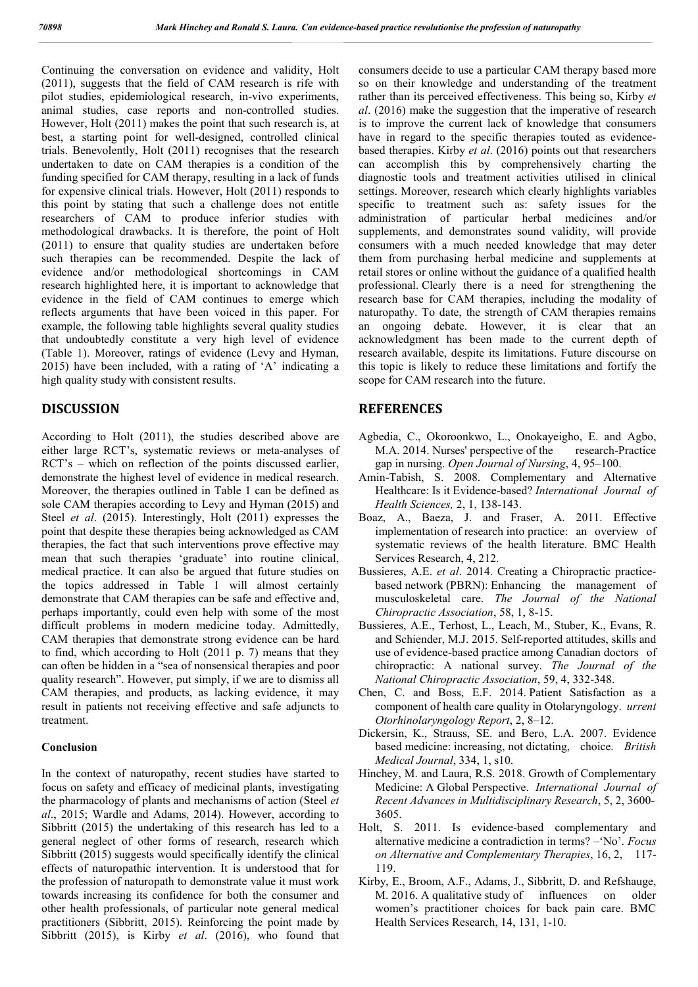Continuing the conversation on evidence and validity, Holt (2011), suggests that the field of CAM research is rife with pilot studies, epidemiological research, in-vivo experiments, animal studies, case reports and non-controlled studies. However, Holt (2011) makes the point that such research is, at best, a starting point for well-designed, controlled clinical trials. Benevolently, Holt (2011) recognises that the research undertaken to date on CAM therapies is a condition of the funding specified for CAM therapy, resulting in a lack of funds for expensive clinical trials. However, Holt (2011) responds to this point by stating that such a challenge does not entitle researchers of CAM to produce inferior studies with methodological drawbacks. It is therefore, the point of Holt (2011) to ensure that quality studies are undertaken before such therapies can be recommended. Despite the lack of evidence and/or methodological shortcomings in CAM research highlighted here, it is important to acknowledge that evidence in the field of CAM continues to emerge which reflects arguments that have been voiced in this paper. For example, the following table highlights several quality studies that undoubtedly constitute a very high level of evidence (Table 1). Moreover, ratings of evidence (Levy and Hyman, 2015) have been included, with a rating of 'A' indicating a high quality study with consistent results.

# **DISCUSSION**

According to Holt (2011), the studies described above are either large RCT's, systematic reviews or meta-analyses of RCT's – which on reflection of the points discussed earlier, demonstrate the highest level of evidence in medical research. Moreover, the therapies outlined in Table 1 can be defined as sole CAM therapies according to Levy and Hyman (2015) and Steel *et al*. (2015). Interestingly, Holt (2011) expresses the point that despite these therapies being acknowledged as CAM therapies, the fact that such interventions prove effective may mean that such therapies 'graduate' into routine clinical, medical practice. It can also be argued that future studies on the topics addressed in Table 1 will almost certainly demonstrate that CAM therapies can be safe and effective and, perhaps importantly, could even help with some of the most difficult problems in modern medicine today. Admittedly, CAM therapies that demonstrate strong evidence can be hard to find, which according to Holt (2011 p. 7) means that they can often be hidden in a "sea of nonsensical therapies and poor quality research". However, put simply, if we are to dismiss all CAM therapies, and products, as lacking evidence, it may result in patients not receiving effective and safe adjuncts to treatment.

### **Conclusion**

In the context of naturopathy, recent studies have started to focus on safety and efficacy of medicinal plants, investigating the pharmacology of plants and mechanisms of action (Steel *et al*., 2015; Wardle and Adams, 2014). However, according to Sibbritt (2015) the undertaking of this research has led to a general neglect of other forms of research, research which Sibbritt (2015) suggests would specifically identify the clinical effects of naturopathic intervention. It is understood that for the profession of naturopath to demonstrate value it must work towards increasing its confidence for both the consumer and other health professionals, of particular note general medical practitioners (Sibbritt, 2015). Reinforcing the point made by Sibbritt (2015), is Kirby *et al*. (2016), who found that consumers decide to use a particular CAM therapy based more so on their knowledge and understanding of the treatment rather than its perceived effectiveness. This being so, Kirby *et al*. (2016) make the suggestion that the imperative of research is to improve the current lack of knowledge that consumers have in regard to the specific therapies touted as evidencebased therapies. Kirby *et al*. (2016) points out that researchers can accomplish this by comprehensively charting the diagnostic tools and treatment activities utilised in clinical settings. Moreover, research which clearly highlights variables specific to treatment such as: safety issues for the administration of particular herbal medicines and/or supplements, and demonstrates sound validity, will provide consumers with a much needed knowledge that may deter them from purchasing herbal medicine and supplements at retail stores or online without the guidance of a qualified health professional. Clearly there is a need for strengthening the research base for CAM therapies, including the modality of naturopathy. To date, the strength of CAM therapies remains an ongoing debate. However, it is clear that an acknowledgment has been made to the current depth of research available, despite its limitations. Future discourse on this topic is likely to reduce these limitations and fortify the scope for CAM research into the future.

# **REFERENCES**

- Agbedia, C., Okoroonkwo, L., Onokayeigho, E. and Agbo, M.A. 2014. Nurses' perspective of the research-Practice gap in nursing. *Open Journal of Nursing*, 4, 95–100.
- Amin-Tabish, S. 2008. Complementary and Alternative Healthcare: Is it Evidence-based? *International Journal of Health Sciences,* 2, 1, 138-143.
- Boaz, A., Baeza, J. and Fraser, A. 2011. Effective implementation of research into practice: an overview of systematic reviews of the health literature. BMC Health Services Research, 4, 212.
- Bussieres, A.E. *et al*. 2014. Creating a Chiropractic practicebased network (PBRN): Enhancing the management of musculoskeletal care. *The Journal of the National Chiropractic Association*, 58, 1, 8-15.
- Bussieres, A.E., Terhost, L., Leach, M., Stuber, K., Evans, R. and Schiender, M.J. 2015. Self-reported attitudes, skills and use of evidence-based practice among Canadian doctors of chiropractic: A national survey. *The Journal of the National Chiropractic Association*, 59, 4, 332-348.
- Chen, C. and Boss, E.F. 2014. Patient Satisfaction as a component of health care quality in Otolaryngology. *urrent Otorhinolaryngology Report*, 2, 8–12.
- Dickersin, K., Strauss, SE. and Bero, L.A. 2007. Evidence based medicine: increasing, not dictating, choice. *British Medical Journal*, 334, 1, s10.
- Hinchey, M. and Laura, R.S. 2018. Growth of Complementary Medicine: A Global Perspective. *International Journal of Recent Advances in Multidisciplinary Research*, 5, 2, 3600- 3605.
- Holt, S. 2011. Is evidence-based complementary and alternative medicine a contradiction in terms? –'No'. *Focus on Alternative and Complementary Therapies*, 16, 2, 117- 119.
- Kirby, E., Broom, A.F., Adams, J., Sibbritt, D. and Refshauge, M. 2016. A qualitative study of influences on older women's practitioner choices for back pain care. BMC Health Services Research, 14, 131, 1-10.